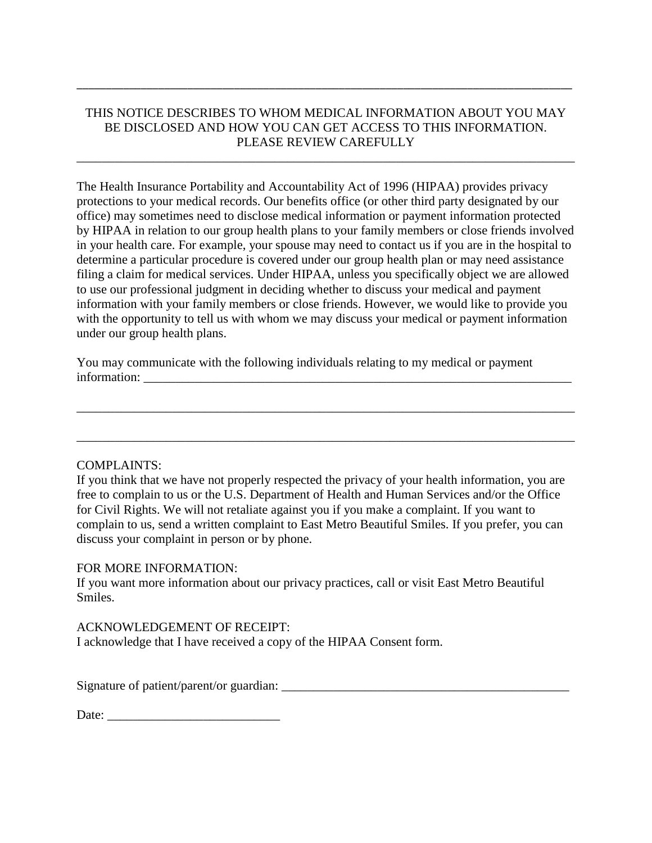# THIS NOTICE DESCRIBES TO WHOM MEDICAL INFORMATION ABOUT YOU MAY BE DISCLOSED AND HOW YOU CAN GET ACCESS TO THIS INFORMATION. PLEASE REVIEW CAREFULLY

\_\_\_\_\_\_\_\_\_\_\_\_\_\_\_\_\_\_\_\_\_\_\_\_\_\_\_\_\_\_\_\_\_\_\_\_\_\_\_\_\_\_\_\_\_\_\_\_\_\_\_\_\_\_\_\_\_\_\_\_\_\_\_\_\_\_\_\_\_\_\_\_\_\_\_\_\_\_

\_\_\_\_\_\_\_\_\_\_\_\_\_\_\_\_\_\_\_\_\_\_\_\_\_\_\_\_\_\_\_\_\_\_\_\_\_\_\_\_\_\_\_\_\_\_\_\_\_\_\_\_\_\_\_\_\_\_\_\_\_\_\_\_\_\_\_\_\_\_\_\_\_\_\_\_\_\_\_\_\_\_\_\_\_

The Health Insurance Portability and Accountability Act of 1996 (HIPAA) provides privacy protections to your medical records. Our benefits office (or other third party designated by our office) may sometimes need to disclose medical information or payment information protected by HIPAA in relation to our group health plans to your family members or close friends involved in your health care. For example, your spouse may need to contact us if you are in the hospital to determine a particular procedure is covered under our group health plan or may need assistance filing a claim for medical services. Under HIPAA, unless you specifically object we are allowed to use our professional judgment in deciding whether to discuss your medical and payment information with your family members or close friends. However, we would like to provide you with the opportunity to tell us with whom we may discuss your medical or payment information under our group health plans.

You may communicate with the following individuals relating to my medical or payment information: \_\_\_\_\_\_\_\_\_\_\_\_\_\_\_\_\_\_\_\_\_\_\_\_\_\_\_\_\_\_\_\_\_\_\_\_\_\_\_\_\_\_\_\_\_\_\_\_\_\_\_\_\_\_\_\_\_\_\_\_\_\_\_\_\_\_\_

#### COMPLAINTS:

If you think that we have not properly respected the privacy of your health information, you are free to complain to us or the U.S. Department of Health and Human Services and/or the Office for Civil Rights. We will not retaliate against you if you make a complaint. If you want to complain to us, send a written complaint to East Metro Beautiful Smiles. If you prefer, you can discuss your complaint in person or by phone.

\_\_\_\_\_\_\_\_\_\_\_\_\_\_\_\_\_\_\_\_\_\_\_\_\_\_\_\_\_\_\_\_\_\_\_\_\_\_\_\_\_\_\_\_\_\_\_\_\_\_\_\_\_\_\_\_\_\_\_\_\_\_\_\_\_\_\_\_\_\_\_\_\_\_\_\_\_\_

\_\_\_\_\_\_\_\_\_\_\_\_\_\_\_\_\_\_\_\_\_\_\_\_\_\_\_\_\_\_\_\_\_\_\_\_\_\_\_\_\_\_\_\_\_\_\_\_\_\_\_\_\_\_\_\_\_\_\_\_\_\_\_\_\_\_\_\_\_\_\_\_\_\_\_\_\_\_

#### FOR MORE INFORMATION:

If you want more information about our privacy practices, call or visit East Metro Beautiful Smiles.

#### ACKNOWLEDGEMENT OF RECEIPT:

I acknowledge that I have received a copy of the HIPAA Consent form.

Signature of patient/parent/or guardian:

Date: